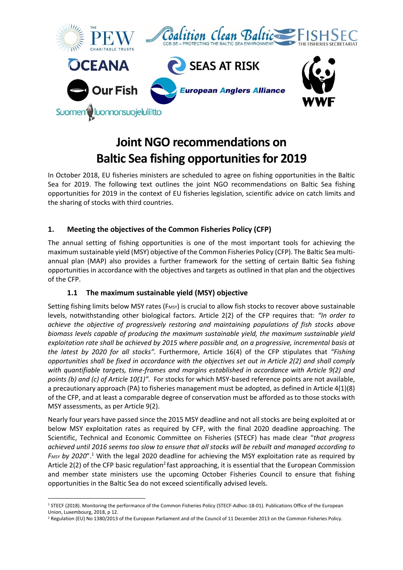

# **Joint NGO recommendations on Baltic Sea fishing opportunities for 2019**

In October 2018, EU fisheries ministers are scheduled to agree on fishing opportunities in the Baltic Sea for 2019. The following text outlines the joint NGO recommendations on Baltic Sea fishing opportunities for 2019 in the context of EU fisheries legislation, scientific advice on catch limits and the sharing of stocks with third countries.

# **1. Meeting the objectives of the Common Fisheries Policy (CFP)**

The annual setting of fishing opportunities is one of the most important tools for achieving the maximum sustainable yield (MSY) objective of the Common Fisheries Policy (CFP). The Baltic Sea multiannual plan (MAP) also provides a further framework for the setting of certain Baltic Sea fishing opportunities in accordance with the objectives and targets as outlined in that plan and the objectives of the CFP.

# **1.1 The maximum sustainable yield (MSY) objective**

Setting fishing limits below MSY rates (FMSY) is crucial to allow fish stocks to recover above sustainable levels, notwithstanding other biological factors. Article 2(2) of the CFP requires that: *"In order to achieve the objective of progressively restoring and maintaining populations of fish stocks above biomass levels capable of producing the maximum sustainable yield, the maximum sustainable yield exploitation rate shall be achieved by 2015 where possible and, on a progressive, incremental basis at the latest by 2020 for all stocks".* Furthermore, Article 16(4) of the CFP stipulates that *"Fishing opportunities shall be fixed in accordance with the objectives set out in Article 2(2) and shall comply with quantifiable targets, time-frames and margins established in accordance with Article 9(2) and points (b) and (c) of Article 10(1)".* For stocks for which MSY-based reference points are not available, a precautionary approach (PA) to fisheries management must be adopted, as defined in Article 4(1)(8) of the CFP, and at least a comparable degree of conservation must be afforded as to those stocks with MSY assessments, as per Article 9(2).

Nearly four years have passed since the 2015 MSY deadline and not all stocks are being exploited at or below MSY exploitation rates as required by CFP, with the final 2020 deadline approaching. The Scientific, Technical and Economic Committee on Fisheries (STECF) has made clear "*that progress achieved until 2016 seems too slow to ensure that all stocks will be rebuilt and managed according to FMSY by 2020*".<sup>1</sup> With the legal 2020 deadline for achieving the MSY exploitation rate as required by Article 2(2) of the CFP basic regulation<sup>2</sup> fast approaching, it is essential that the European Commission and member state ministers use the upcoming October Fisheries Council to ensure that fishing opportunities in the Baltic Sea do not exceed scientifically advised levels.

**.** 

<sup>1</sup> STECF (2018). Monitoring the performance of the Common Fisheries Policy (STECF-Adhoc-18-01). Publications Office of the European Union, Luxembourg, 2018, p 12.

<sup>&</sup>lt;sup>2</sup> Regulation (EU) No 1380/2013 of the European Parliament and of the Council of 11 December 2013 on the Common Fisheries Policy.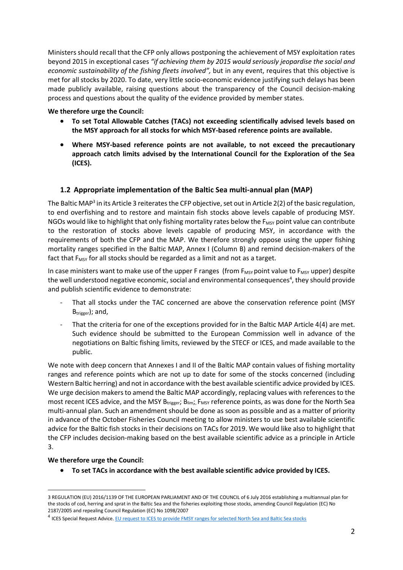Ministers should recall that the CFP only allows postponing the achievement of MSY exploitation rates beyond 2015 in exceptional cases *"if achieving them by 2015 would seriously jeopardise the social and economic sustainability of the fishing fleets involved",* but in any event, requires that this objective is met for all stocks by 2020. To date, very little socio-economic evidence justifying such delays has been made publicly available, raising questions about the transparency of the Council decision-making process and questions about the quality of the evidence provided by member states.

## **We therefore urge the Council:**

- **To set Total Allowable Catches (TACs) not exceeding scientifically advised levels based on the MSY approach for all stocks for which MSY-based reference points are available.**
- **Where MSY-based reference points are not available, to not exceed the precautionary approach catch limits advised by the International Council for the Exploration of the Sea (ICES).**

# **1.2 Appropriate implementation of the Baltic Sea multi-annual plan (MAP)**

The Baltic MAP<sup>3</sup> in its Article 3 reiterates the CFP objective, set out in Article 2(2) of the basic regulation, to end overfishing and to restore and maintain fish stocks above levels capable of producing MSY. NGOs would like to highlight that only fishing mortality rates below the  $F_{MSY}$  point value can contribute to the restoration of stocks above levels capable of producing MSY, in accordance with the requirements of both the CFP and the MAP. We therefore strongly oppose using the upper fishing mortality ranges specified in the Baltic MAP, Annex I (Column B) and remind decision-makers of the fact that  $F_{MSV}$  for all stocks should be regarded as a limit and not as a target.

In case ministers want to make use of the upper F ranges (from  $F_{MSV}$  point value to  $F_{MSV}$  upper) despite the well understood negative economic, social and environmental consequences<sup>4</sup>, they should provide and publish scientific evidence to demonstrate:

- That all stocks under the TAC concerned are above the conservation reference point (MSY  $B_{trigger}$ ; and,
- That the criteria for one of the exceptions provided for in the Baltic MAP Article 4(4) are met. Such evidence should be submitted to the European Commission well in advance of the negotiations on Baltic fishing limits, reviewed by the STECF or ICES, and made available to the public.

We note with deep concern that Annexes I and II of the Baltic MAP contain values of fishing mortality ranges and reference points which are not up to date for some of the stocks concerned (including Western Baltic herring) and not in accordance with the best available scientific advice provided by ICES. We urge decision makers to amend the Baltic MAP accordingly, replacing values with references to the most recent ICES advice, and the MSY Btrigger; Blim;, F<sub>MSY</sub> reference points, as was done for the North Sea multi-annual plan. Such an amendment should be done as soon as possible and as a matter of priority in advance of the October Fisheries Council meeting to allow ministers to use best available scientific advice for the Baltic fish stocks in their decisions on TACs for 2019. We would like also to highlight that the CFP includes decision-making based on the best available scientific advice as a principle in Article 3.

## **We therefore urge the Council:**

• **To set TACs in accordance with the best available scientific advice provided by ICES.**

**<sup>.</sup>** 3 REGULATION (EU) 2016/1139 OF THE EUROPEAN PARLIAMENT AND OF THE COUNCIL of 6 July 2016 establishing a multiannual plan for the stocks of cod, herring and sprat in the Baltic Sea and the fisheries exploiting those stocks, amending Council Regulation (EC) No 2187/2005 and repealing Council Regulation (EC) No 1098/2007

<sup>4</sup> ICES Special Request Advice[. EU request to ICES to provide FMSY ranges for selected North Sea and Baltic Sea stocks](http://www.ices.dk/sites/pub/Publication%20Reports/Advice/2015/Special_Requests/EU_FMSY_ranges_for_selected_NS_and_BS_stocks.pdf)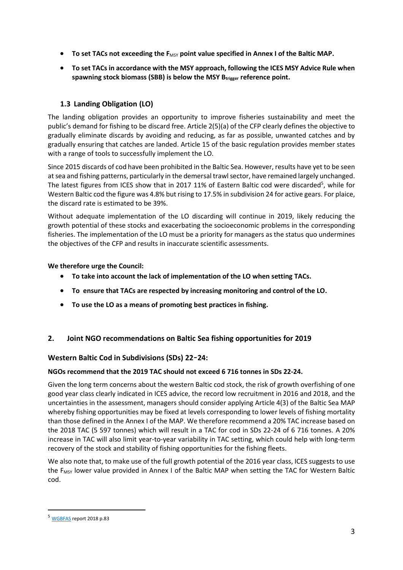- To set TACs not exceeding the F<sub>MSY</sub> point value specified in Annex I of the Baltic MAP.
- **To set TACs in accordance with the MSY approach, following the ICES MSY Advice Rule when spawning stock biomass (SBB) is below the MSY Btrigger reference point.**

# **1.3 Landing Obligation (LO)**

The landing obligation provides an opportunity to improve fisheries sustainability and meet the public's demand for fishing to be discard free. Article 2(5)(a) of the CFP clearly defines the objective to gradually eliminate discards by avoiding and reducing, as far as possible, unwanted catches and by gradually ensuring that catches are landed. Article 15 of the basic regulation provides member states with a range of tools to successfully implement the LO.

Since 2015 discards of cod have been prohibited in the Baltic Sea. However, results have yet to be seen at sea and fishing patterns, particularly in the demersal trawl sector, have remained largely unchanged. The latest figures from ICES show that in 2017 11% of Eastern Baltic cod were discarded<sup>5</sup>, while for Western Baltic cod the figure was 4.8% but rising to 17.5% in subdivision 24 for active gears. For plaice, the discard rate is estimated to be 39%.

Without adequate implementation of the LO discarding will continue in 2019, likely reducing the growth potential of these stocks and exacerbating the socioeconomic problems in the corresponding fisheries. The implementation of the LO must be a priority for managers as the status quo undermines the objectives of the CFP and results in inaccurate scientific assessments.

## **We therefore urge the Council:**

- **To take into account the lack of implementation of the LO when setting TACs.**
- **To ensure that TACs are respected by increasing monitoring and control of the LO.**
- **To use the LO as a means of promoting best practices in fishing.**

# **2. Joint NGO recommendations on Baltic Sea fishing opportunities for 2019**

# **Western Baltic Cod in Subdivisions (SDs) 22**–**24:**

## **NGOs recommend that the 2019 TAC should not exceed 6 716 tonnes in SDs 22-24.**

Given the long term concerns about the western Baltic cod stock, the risk of growth overfishing of one good year class clearly indicated in ICES advice, the record low recruitment in 2016 and 2018, and the uncertainties in the assessment, managers should consider applying Article 4(3) of the Baltic Sea MAP whereby fishing opportunities may be fixed at levels corresponding to lower levels of fishing mortality than those defined in the Annex I of the MAP. We therefore recommend a 20% TAC increase based on the 2018 TAC (5 597 tonnes) which will result in a TAC for cod in SDs 22-24 of 6 716 tonnes. A 20% increase in TAC will also limit year-to-year variability in TAC setting, which could help with long-term recovery of the stock and stability of fishing opportunities for the fishing fleets.

We also note that, to make use of the full growth potential of the 2016 year class, ICES suggests to use the  $F_{MSY}$  lower value provided in Annex I of the Baltic MAP when setting the TAC for Western Baltic cod.

**.** 

<sup>5</sup> [WGBFAS](http://www.ices.dk/sites/pub/Publication%20Reports/Expert%20Group%20Report/acom/2018/WGBFAS/01%20WGBFAS%20Report%202018.pdf) report 2018 p.83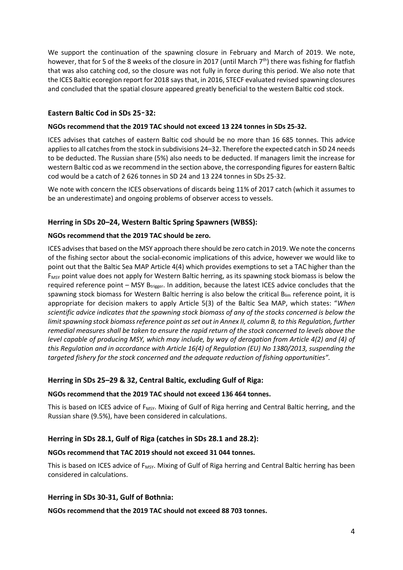We support the continuation of the spawning closure in February and March of 2019. We note, however, that for 5 of the 8 weeks of the closure in 2017 (until March  $7<sup>th</sup>$ ) there was fishing for flatfish that was also catching cod, so the closure was not fully in force during this period. We also note that the ICES Baltic ecoregion report for 2018 says that, in 2016, STECF evaluated revised spawning closures and concluded that the spatial closure appeared greatly beneficial to the western Baltic cod stock.

# **Eastern Baltic Cod in SDs 25**–**32:**

#### **NGOs recommend that the 2019 TAC should not exceed 13 224 tonnes in SDs 25-32.**

ICES advises that catches of eastern Baltic cod should be no more than 16 685 tonnes. This advice applies to all catches from the stock in subdivisions 24–32. Therefore the expected catch in SD 24 needs to be deducted. The Russian share (5%) also needs to be deducted. If managers limit the increase for western Baltic cod as we recommend in the section above, the corresponding figures for eastern Baltic cod would be a catch of 2 626 tonnes in SD 24 and 13 224 tonnes in SDs 25-32.

We note with concern the ICES observations of discards being 11% of 2017 catch (which it assumes to be an underestimate) and ongoing problems of observer access to vessels.

## **Herring in SDs 20–24, Western Baltic Spring Spawners (WBSS):**

#### **NGOs recommend that the 2019 TAC should be zero.**

ICES advises that based on the MSY approach there should be zero catch in 2019. We note the concerns of the fishing sector about the social-economic implications of this advice, however we would like to point out that the Baltic Sea MAP Article 4(4) which provides exemptions to set a TAC higher than the F<sub>MSY</sub> point value does not apply for Western Baltic herring, as its spawning stock biomass is below the required reference point  $-$  MSY B<sub>trigger</sub>. In addition, because the latest ICES advice concludes that the spawning stock biomass for Western Baltic herring is also below the critical  $B_{\text{lim}}$  reference point, it is appropriate for decision makers to apply Article 5(3) of the Baltic Sea MAP, which states: "*When scientific advice indicates that the spawning stock biomass of any of the stocks concerned is below the limit spawning stock biomass reference point as set out in Annex II, column B, to this Regulation, further remedial measures shall be taken to ensure the rapid return of the stock concerned to levels above the level capable of producing MSY, which may include, by way of derogation from Article 4(2) and (4) of this Regulation and in accordance with Article 16(4) of Regulation (EU) No 1380/2013, suspending the targeted fishery for the stock concerned and the adequate reduction of fishing opportunities".*

### **Herring in SDs 25–29 & 32, Central Baltic, excluding Gulf of Riga:**

#### **NGOs recommend that the 2019 TAC should not exceed 136 464 tonnes.**

This is based on ICES advice of F<sub>MSY</sub>. Mixing of Gulf of Riga herring and Central Baltic herring, and the Russian share (9.5%), have been considered in calculations.

## **Herring in SDs 28.1, Gulf of Riga (catches in SDs 28.1 and 28.2):**

#### **NGOs recommend that TAC 2019 should not exceed 31 044 tonnes.**

This is based on ICES advice of F<sub>MSY</sub>. Mixing of Gulf of Riga herring and Central Baltic herring has been considered in calculations.

#### **Herring in SDs 30-31, Gulf of Bothnia:**

**NGOs recommend that the 2019 TAC should not exceed 88 703 tonnes.**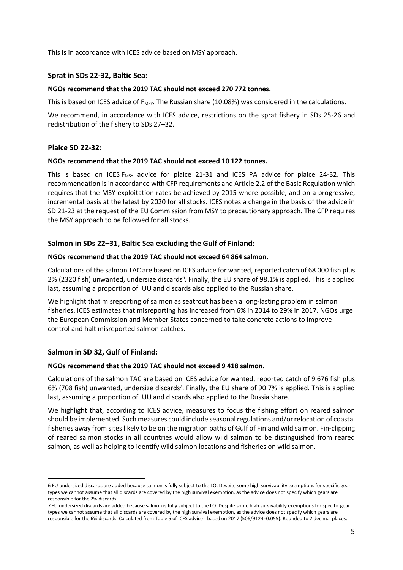This is in accordance with ICES advice based on MSY approach.

### **Sprat in SDs 22-32, Baltic Sea:**

#### **NGOs recommend that the 2019 TAC should not exceed 270 772 tonnes.**

This is based on ICES advice of  $F_{MSV}$ . The Russian share (10.08%) was considered in the calculations.

We recommend, in accordance with ICES advice, restrictions on the sprat fishery in SDs 25-26 and redistribution of the fishery to SDs 27–32.

#### **Plaice SD 22-32:**

#### **NGOs recommend that the 2019 TAC should not exceed 10 122 tonnes.**

This is based on ICES  $F_{MSY}$  advice for plaice 21-31 and ICES PA advice for plaice 24-32. This recommendation is in accordance with CFP requirements and Article 2.2 of the Basic Regulation which requires that the MSY exploitation rates be achieved by 2015 where possible, and on a progressive, incremental basis at the latest by 2020 for all stocks. ICES notes a change in the basis of the advice in SD 21-23 at the request of the EU Commission from MSY to precautionary approach. The CFP requires the MSY approach to be followed for all stocks.

#### **Salmon in SDs 22–31, Baltic Sea excluding the Gulf of Finland:**

#### **NGOs recommend that the 2019 TAC should not exceed 64 864 salmon.**

Calculations of the salmon TAC are based on ICES advice for wanted, reported catch of 68 000 fish plus 2% (2320 fish) unwanted, undersize discards<sup>6</sup>. Finally, the EU share of 98.1% is applied. This is applied last, assuming a proportion of IUU and discards also applied to the Russian share.

We highlight that misreporting of salmon as seatrout has been a long-lasting problem in salmon fisheries. ICES estimates that misreporting has increased from 6% in 2014 to 29% in 2017. NGOs urge the European Commission and Member States concerned to take concrete actions to improve control and halt misreported salmon catches.

## **Salmon in SD 32, Gulf of Finland:**

**.** 

#### **NGOs recommend that the 2019 TAC should not exceed 9 418 salmon.**

Calculations of the salmon TAC are based on ICES advice for wanted, reported catch of 9 676 fish plus 6% (708 fish) unwanted, undersize discards<sup>7</sup>. Finally, the EU share of 90.7% is applied. This is applied last, assuming a proportion of IUU and discards also applied to the Russia share.

We highlight that, according to ICES advice, measures to focus the fishing effort on reared salmon should be implemented. Such measures could include seasonal regulations and/or relocation of coastal fisheries away from sites likely to be on the migration paths of Gulf of Finland wild salmon. Fin-clipping of reared salmon stocks in all countries would allow wild salmon to be distinguished from reared salmon, as well as helping to identify wild salmon locations and fisheries on wild salmon.

<sup>6</sup> EU undersized discards are added because salmon is fully subject to the LO. Despite some high survivability exemptions for specific gear types we cannot assume that all discards are covered by the high survival exemption, as the advice does not specify which gears are responsible for the 2% discards.

<sup>7</sup> EU undersized discards are added because salmon is fully subject to the LO. Despite some high survivability exemptions for specific gear types we cannot assume that all discards are covered by the high survival exemption, as the advice does not specify which gears are responsible for the 6% discards. Calculated from Table 5 of ICES advice - based on 2017 (506/9124=0.055). Rounded to 2 decimal places.